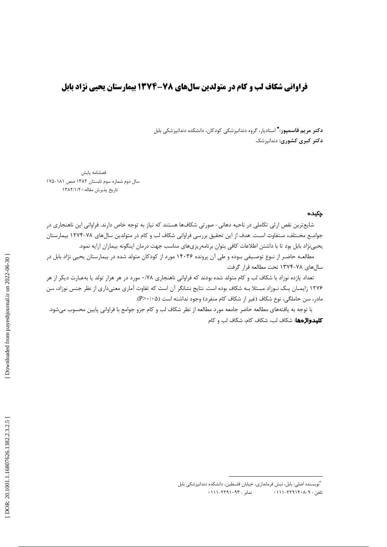## فراوانی شکاف لب و کام در متولدین سالهای ۷۸-۱۳۷۴ بیمارستان یحیی نژاد بابل

**دکتر مريم قاسمپور:\*** استاديار، گروه دندانپزشکي کودکان، دانشکده دندانپزشکي بابل **دکتر کبری کشوری:** دندانپزشک

امه پایش المستخدم المستخدم المستخدم المستخدم المستخدم المستخدم المستخدم المستخدم المستخدم المستخدم المستخدم المستخدم ال

ال دوم شماره سوم تابستان ۱۳۸۲ صص ۱۸۱-۱۷۵  $\mathbf{u}$ اريخ پذيرش مقاله: ١٣٨٢/١/٢٠  $\mathcal{L}(\mathcal{L}(\mathcal{L}(\mathcal{L}(\mathcal{L}(\mathcal{L}(\mathcal{L}(\mathcal{L}(\mathcal{L}(\mathcal{L}(\mathcal{L}(\mathcal{L}(\mathcal{L}(\mathcal{L}(\mathcal{L}(\mathcal{L}(\mathcal{L}(\mathcal{L}(\mathcal{L}(\mathcal{L}(\mathcal{L}(\mathcal{L}(\mathcal{L}(\mathcal{L}(\mathcal{L}(\mathcal{L}(\mathcal{L}(\mathcal{L}(\mathcal{L}(\mathcal{L}(\mathcal{L}(\mathcal{L}(\mathcal{L}(\mathcal{L}(\mathcal{L}(\mathcal{L}(\mathcal{$ 

### چکیده

شایع ترین نقص ارثی تکاملی در ناحیه دهانی- صورتی شکافها هستند که نیاز به توجه خاص دارند. فراوانی این ناهنجاری در جوامـع مخـتلف، مـتفاوت اسـت. هدف از اين تحقيق بررسي فراواني شكاف لب و كام در متولدين سالهاي ٧٨-١٢٧۴ بيمارستان يحيىنژاد بابل بود تا با داشتن اطلاعات كافي بتوان برنامهريزيهاي مناسب جهت درمان اينگونه بيماران ارايه نمود.

مطالعـه حاضـر از نـوع توصـيفي بـوده و طي آن پرونده ۱۴۰۳۶ مورد از كودكان متولد شده در بيمارستان يحيى نژاد بابل در سالهای ۷۸-۱۳۷۴ تحت مطالعه قرار گرفت.

تعداد یازده نوزاد با شکاف لب و کام متولد شده بودند که فراوانی ناهنجاری ۰/۷۸ مورد در هر هزار تولد یا بهعبارت دیکر از هر ۱۲۷۶ زایمـان یـک نـوزاد مبـتلا بـه شکاف بوده است. نتایج نشانگر آن است که تفاوت آماری معنیداری از نظر جنس نوزاد، سن مادر، سن حاملگی، نوع شکاف (غیر از شکاف کام منفرد) وجود نداشته است (P>٠/٠۵). مطالعه حاضر از نيوع توصيتي بيوده وطن أن <sub>ب</sub>رونده 14.79 مورد از كودكال ملوله شده در ييمارستان يحيى تزاد بابل در<br>السال المحافظ المحافظ العالمية في التعارف المحافظ المحافظ المحافظ الأمام المحافظ الأمام المحافظ المحافظ المحاف

با توجه به يافتههاي مطالعه حاضر جامعه مورد مطالعه از نظر شكاف لب و كام جزو جوامع با فراواني پايين محسوب ميشود. كليدواژهها: شكاف لب، شكاف كام، شكاف لب و كام

<sup>∗</sup> - B?\_'!# --?E J-#d - 9
!. '  $.$ ۱۱۱–۲۲۹۱۰۹۳ : ۰۱۱۱– تلفن : ۹-۲۲۹۱۴۰۸–۱۱۱۱-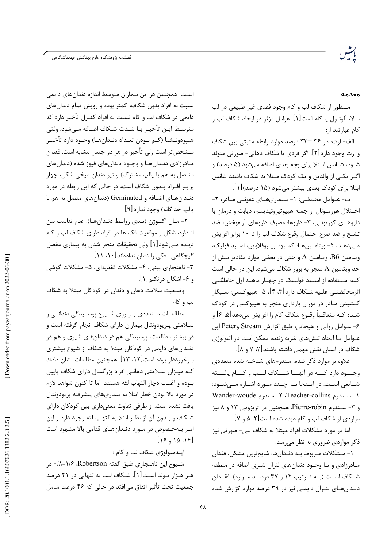#### مقدمه

مـنظور از شكاف لب و كام وجود فضاى غير طبيعي در لب بـالا، آلوئــول يا كام است[۱]. عوامل مؤثر در ايجاد شكاف لب و كام عبارتند از:

الف- ارث: در ٣٤ -٣٣ درصد موارد رابطه مثبتي بين شكاف و ارث وجود دارد[۲]. اگر فردی با شکاف دهانی- صورتی متولد شـود، شـانس ابـتلا براي بچه بعدي اضافه ميشود (۵ درصد) و اگـر یکـی از والدین و یک کودک مبتلا به شکاف باشند شانس ابتلا برای کودک بعدی بیشتر می شود (۱۵ درصد)[۱].

ب- عــوامل محیطــی: ١- بــیماریهــای عفونــی مــادر، ٢-اخـتلال هورمـونال از جمله هيپوتيروئيديسم، ديابت و درمان با داروهـای کورتونـی، ۳- داروها: مصرف داروهای آرامبخش، ضد تشنج و ضد صرع احتمال وقوع شكاف لب را تا ١٠ برابر افزايش مے،دهـد، ۴- ويتامـينهـا: كمـبود ريـبوفلاوين، اسـيد فوليك، ويتامين B6، ويتامين A و حتى در بعضى موارد مقادير بيش از حد ويتامين A منجر به بروز شكاف مىشود. اين در حالي است کـه اســتفاده از اســيد فولــيک در چهــار ماهــه اول حاملگــی اثرمحافظتــي علــيه شــكاف دارد[٣، ۴]، ۵– هيپوكـسي: ســيگار کشیدن مـادر در دوران بارداری منجر به هییوکسی در کودک شـده کـه متعاقـباً وقـوع شکاف کام را افزایش میدهد[۵، ۶] و ۶- عـوامل رواني و هيجاني: طبق گزارش Stream وPeter اين عـوامل بـا ایجاد تنشهای ضربه زننده ممکن است در اتیولوژی شکاف در انسان نقش مهمی داشته باشند[۲، ۷ و ۸].

علاوه بر موارد ذکر شده، سندرمهای شناخته شده متعددی وجسود دارد كسه در آنهسا شسكاف لسب و كسام يافسته شـایعی اسـت. در ایـنجا بـه چـند مـورد اشـاره مـیشـود: ١- سندرم Teacher-collins، ٢- سندرم Wander-woude و ۳- سـندرم Pierre-robin. همچنین در تریزومی ۱۳ و ۸ نیز مواردي از شكاف لب و كام ديده شده است [۲، ۵ و ۷].

اما در مورد مشکلات افراد مبتلا به شکاف لبی- صورتی نیز ذکر مواردی ضروری به نظر می رسد:

١- مـشكلات مـربوط بـه دنـدانها: شايعترين مشكل، فقدان مـادرزادی و یـا وجـود دندانهای لترال شیری اضافه در منطقه شـكاف اسـت (بـه تـرتيب ١۴ و ٣٧ درصـد مـوارد). فقـدان دنـدانهـای لتـرال دایمـی نیز در ۳۹ درصد موارد گزارش شده

است. همچنین در این بیماران متوسط اندازه دندانهای دایمی نسبت به افراد بدون شکاف، کمتر بوده و رویش تمام دندانهای دایمی در شکاف لب و کام نسبت به افراد کنترل تأخیر دارد که متوسـط ايــن تأخيــر بــا شــدت شــكاف اضــافه مــىشود. وقتى هيپودونــشيا (كــم بــودن تعــداد دنــدانهــا) وجــود دارد تأخيــر مـشخصتر است ولي تأخير در هر دو جنس مشابه است. فقدان مـادرزادي دنـدانهـا و وجـود دندانهاي فيوز شده (دندانهاي متـصل به هم با پالپ مشترک) و نیز دندان میخی شکل، چهار برابر افراد بدون شكاف است، در حالي كه اين رابطه در مورد دنـدانهـای اضـافه و Geminated (دندانهای متصل به هم با يالپ جداگانه) وجود ندار د[۹].

٢- مـال اكلـوژن (بـدي روابـط دنـدانهـا): عدم تناسب بين انـدازه، شكل و موقعيت فک ها در افراد داراي شكاف لب و كام دیـده مـیشود[۱] ولی تحقیقات منجر شدن به بیماری مفصل گیجگاهی- فکی را نشان ندادهاند [۱۰، ۱۱].

۳- ناهنجاری بینی، ۴- مشکلات تغذیهای، ۵- مشکلات گوشی و ۶- اشكال در تكلم[۱].

وضعیت سلامت دهان و دندان در کودکان مبتلا به شکاف لب و كام:

مطالعــات مــتعددي بــر روي شــيوع پوســيدگي دندانــي و سـلامتی پـریودونتال بیماران دارای شکاف انجام گرفته است و در بیشتر مطالعات، پوسیدگی هم در دندانهای شیری و هم در دنـدانهای دایمی در کودکان مبتلا به شکاف از شیوع بیشتری بـرخورددار بوده است[۱۲، ۱۳]. همچنین مطالعات نشان دادند کـه میـزان سـلامتی دهانـی افراد بزرگسال دارای شکاف پایین بـوده و اغلـب دچار التهاب لثه هستند. اما تا كنون شواهد لازم در مورد بالا بودن خطر ابتلا به بیماریهای پیشرفته پریودونتال یافت نشده است. از طرفی تفاوت معنیداری بین کودکان دارای شـكاف و بـدون آن از نظـر ابتلا به التهاب لثه وجود دارد و اين امـر بــهخـصوص در مــورد دنــدانهــاي قدامي بالا مشهود است  $[19, 10.18]$ 

اييدميولوژي شكاف لب و كام:

شيوع اين ناهنجاري طبق گفته Robertson، ١/۶-٨٠١٨، در هـر هـزار تـولد اسـت[۱]. شـكاف لـب به تنهايي در ۲۱ درصد جمعیت تحت تأثیر اتفاق می|فتد در حالی که ۴۶ درصد شامل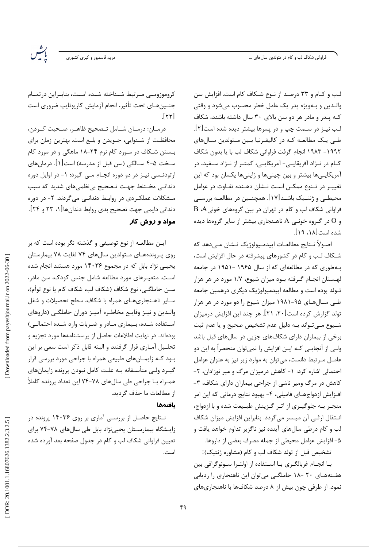فراوانی شکاف لب و کام در متولدین سالهای …

لب و کـام و ۳۳ درصـد از نـوع شـکاف کام است. افزایش سن والدين و بـهويژه پدر يک عامل خطر محسوب ميشود و وقتي کـه يـد, و ماد, هر دو سن بالای ۳۰ سال داشته باشند، شکاف لب نیـز در سـمت چپ و در پسرها بیشتر دیده شده است[۲]. طے یک مطالعـه کـه در کالیفـرنیا بـین مـتولدین سـالهای ١٩٩٢- ١٩٨٣ انجام گرفت فراواني شكاف لب با يا بدون شكاف كــام در نــژاد آفريقايــي- آمريكايــي، كمتــر از نــژاد ســفيد، در آمريکايے ها بيشتر و بين چينے ها و ژاپنے ها پکسان بود که اين تغییـر در تـنوع ممكـن اسـت نـشان دهـنده تفـاوت در عوامل محیطـی و ژنتـیک باشـد[۱۷]. همچنـین در مطالعـه بررسـی فراوانی شکاف لب و کام در تهران در بین گروههای خونیA ،A و O در گروه خونبی A ناهـنجاری بیشتر از سایر گروهها دیده شده است[۱۸، ۱۹].

اصـولاً نــتايج مطالعــات اييدمــيولوژيک نــشان مــى،دهد که شـكاف لـب و كام در كشورهاى پيشرفته در حال افزايش است، به طوری که در مطالعهای که از سال ۱۹۶۵ -۱۹۵۱ در جامعه لهستان انجـام گـرفته بـود ميزان شيوع، ١/٧ مورد در هر هزار تـولد بوده است و مطالعه اییدمیولوژیک دیگری درهمین جامعه طے سال ھای ۹۵-۱۹۸۱ میزان شیوع را دو مورد در ھر ھزار تولد گزارش کرده است[۲۰، ۲۱]. هر چند این افزایش درمیزان شـيوع مـي تـواند بـه دليل عدم تشخيص صحيح و يا عدم ثبت برخی از بیماران دارای شکافهای جزیی در سالهای قبل باشد ولـي از آنجايـي كــه ايــن افزايش را نميتوان منحصراً به اين دو عامـل مـرتبط دانست، مى توان به موارد زير نيز به عنوان عوامل احتمالی اشاره کرد: ۱- کاهش درمیزان مرگ و میر نوزادان، ۲-کاهش در مرگ ومیر ناشی از جراحی بیماران دارای شکاف، ۳-افـزايش ازدواجهـاي فاميلي، ۴- بهبود نتايج درماني كه اين امر منجـر بـه جلوگيـري از اثـر گـزينش طبـيعت شده و با ازدواج، انـتقال ارثـى آن ميـسر مى گردد. بنابراين افزايش ميزان شكاف لب و کام درطی سالهای آینده نیز ناگزیر تداوم خواهد یافت و ۵- افزایش عوامل محیطی از جمله مصرف بعضی از داروها.

تشخيص قبل از تولد شكاف لب و كام (مشاوره ژنتيک):

بـا انجـام غربالگـرى بـا اسـتفاده از اولتـرا سـونوگرافى بين هفتههای ۲۰ -۱۸ حاملگی می توان این ناهنجاری را ردیابی نمود. از طرفی چون بیش از ۸ درصد شکافها با ناهنجاریهای

كروموزومي مبرتبط شيناخته شيده اسيت، بنابيراين درتميام جنــینهـای تحت تأثیر، انجام آزمایش کاریوتایپ ضروری است  $[\gamma\gamma]$ 

مریم قاسمپور و کبر*ی* کشوری

درمـان: درمـان شـامل تـصحيح ظاهـر، صـحبت كـردن، محافظت از شـنوايي، جـويدن و بلـع است. بهترين زمان براي بـستن شـكاف در مـورد كام نرم ۲۴-۱۸ ماهگی و در مورد كام سـخت ۵-۴ ســالگي (سن قبل از مدرسه) است[۱]. درمانهاي ارتودنــسی نیـز در دو دوره انجــام مـی گیرد: ۱- در اوایل دوره دندانی مختلط جهت تصحیح بی نظمیهای شدید که سبب مـشکلات عملکـردی در روابـط دندانـی می گردند. ۲- در دوره دندانی دایمی جهت تصحیح بدی روابط دندانها[۱، ۲۳ و ۲۴]. مواد و روش کار

ایـن مطالعـه از نوع توصیفی و گذشته نگر بوده است که بر روی پروندههای متولدین سالهای ۷۴ لغایت ۷۸ بیمارستان یحیے نژاد بابل که در مجموع ۱۴۰۳۶ مورد هستند انجام شده است. متغیـرهای مورد مطالعه شامل جنس کودک، سن مادر، سـن حاملگـي، نوع شكاف (شكاف لب، شكاف كام يا نوع توأم)، سـایر ناهـنجاریهـای همراه با شکاف، سطح تحصیلات و شغل والـدين و نيـز وقايـع مخاطـره آميـز دوران حاملگـي (داروهاي استفاده شده، بیماری مادر و ضربات وارد شده احتمالی) بودهاند. در نهایت اطلاعات حاصل از پرسشنامهها مورد تجزیه و تحلـيل آمـاري قرار گرفتند و البته قابل ذكر است سعى بر اين بـود کـه زایمـانهای طبیعی همراه با جراحی مورد بررسی قرار گیـرد ولـی متأسـفانه بـه علـت كامل نبودن پرونده زايمانهای همـراه بــا جراحي طي سالهاي ٧٨-٧۴ اين تعداد پرونده كاملاً از مطالعات ما حذف گرديد.

### بافتهها

نـتايج حاصـل از بررسـي آماري بر روي ۱۴۰۳۶ پرونده در زایشگاه بیمارستان یحیی نژاد بابل طی سالهای ۷۸-۷۴ برای تعیین فراوانی شکاف لب و کام در جدول صفحه بعد آورده شده است.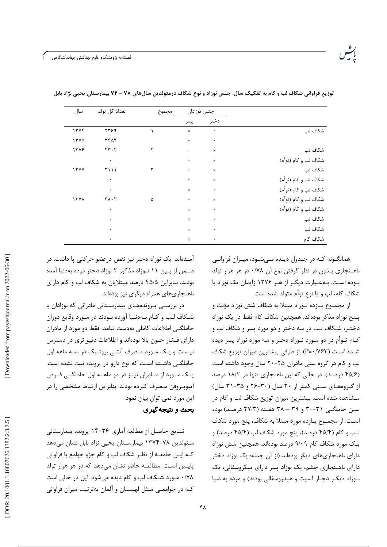فصلنامه پژوهشکده علوم بهداشتی جهاددانشگاهی

| سال         | تعداد كل تولد                         | مجموع | جنس نوزادان |           |                      |
|-------------|---------------------------------------|-------|-------------|-----------|----------------------|
|             |                                       |       | پسر         | دختر      |                      |
| 1777        | ۲۳۶۹                                  |       | $\times$    | $\bullet$ | شكاف لب              |
| 1570        | <b>7457</b>                           |       | $\bullet$   | $\bullet$ |                      |
| 1378        | $\mathbf{r}\mathbf{r}\cdot\mathbf{r}$ | ٢     | $\bullet$   | $\times$  | شكاف لب              |
|             | $\bullet$                             |       | $\bullet$   | $\times$  | شكاف لب و كام (توأم) |
| 17YY        | <b>٢١١١</b>                           | ٣     | $\bullet$   | $\times$  | شكاف لب              |
|             | $\bullet$                             |       | $\bullet$   | $\times$  | شكاف لب و كام (توأم) |
|             | $\bullet$                             |       | $\times$    | $\bullet$ | شكاف لب و كام (توأم) |
| <b>ITVA</b> | $\mathbf{r} \wedge \mathbf{r}$        | ۵     | $\bullet$   | $\times$  | شكاف لب و كام (توأم) |
|             | $\bullet$                             |       | $\times$    | $\bullet$ | شكاف لب و كام (توأم) |
|             | ٠                                     |       | $\times$    | ۰         | شكاف لب              |
|             | ٠                                     |       | $\times$    | $\bullet$ | شكاف لب              |
|             | $\bullet$                             |       | $\times$    | $\bullet$ | شكاف كام             |

توزیع فراوانی شکاف لب و کام به تفکیک سال، جنس نوزاد و نوع شکاف درمتولدین سالهای ۷۸ – ۷۴ بیمارستان یحیی نژاد بابل

همانگـونه كـه در جـدول ديـده مــ شـود، ميـزان فراوانــی ناهـنجاري بـدون در نظر گرفتن نوع آن ۰/۷۸ در هر هزار تولد بـوده اسـت. بـهعـبارت دیگـر از هـر ۱۲۷۶ زایمان یک نوزاد با شكاف كام، لب و يا نوع توأم متولد شده است.

از مجمــوع يــازده نــوزاد مبتلا به شكاف شش نوزاد مؤنث و یـنج نوزاد مذکر بودهاند. همچنین شکاف کام فقط در یک نوزاد دختـر، شـكاف لـب در سه دختر و دو مورد يسر و شكاف لب و کـام تـوأم در دو مـورد نـوزاد دختر و سه مورد نوزاد پسر ديده شـده اسـت (P=٠/٧۶۳). از طرفي بيشترين ميزان توزيع شكاف لب و کام در گروه سنی مادران ۲۵-۲۰ سال وجود داشته است (۴۵/۶ درصد). در حالی که این ناهنجاری تنها در ۱۸/۲ درصد از گروههای سنی کمتر از ۲۰ سال (۳۰-۲۶ و ۳۵-۳۱ سال) مـشاهده شده است. بیشترین میزان توزیع شکاف لب و کام در سن حاملگی ۳۱-۳۰ و ۳۹ – ۳۸ هفته (۲۷/۳ درصد) بوده اسـت. از مجمـوع يــازده مورد مبتلا به شكاف، پنج مورد شكاف لب و كام (۴۵/۴ درصد)، پنج مورد شكاف لب (۴۵/۴ درصد) و یـک مورد شکاف کام ۹/۰۹ درصد بودهاند. همچنین شش نوزاد دارای ناهنجاریهای دیگر بودهاند (از آن جمله: یک نوزاد دختر دارای ناهـنجاری چشم، یک نوزاد پسر دارای میکروسفالی، یک نوزاد دیگر دچار آسیت و هیدروسفالی بودند) و مرده به دنیا

آمـدهاند. یک نوزاد دختر نیز نقص درعضو حرکتی یا داشت. در ضـمن از بـين ١١ نـوزاد مذكور ٢ نوزاد دختر مرده بهدنيا آمده بودند، بنابراین ۴۵/۵ درصد مبتلایان به شکاف لب و کام دارای ناهنجاریهای همراه دیگری نیز بودهاند.

در بررسی پروندههای بیمارستانی مادرانی که نوزادان با شـكاف لـب و كـام بــهدنـيا آورده بــودند در مــورد وقايع دوران حاملگے اطلاعات کاملی بهدست نیامد. فقط دو مورد از مادران دارای فـشار خـون بالا بودهاند و اطلاعات دقیقتری در دسترس نیست و یک مـورد مـصرف آنتـی بیوتـیک در سـه ماهه اول حاملگــی داشــته اسـت که نوع دارو در پرونده ثبت نشده است. یــک مــورد از مــادران نیــز در دو ماهــه اول حاملگــی قــرص ايبوپـروفن مـصرف كـرده بودند. بنابراين ارتباط مشخصى را در این مورد نمی توان بیان نمود.

# بحث و نتیجه گیری

نـتايج حاصـل از مطالعه آماري ۱۴۰۳۶ پرونده بيمارستاني مـتولدين ٧٨-١٣٧۴ بيمارسـتان يحيى نژاد بابل نشان مىدهد کـه ايـن جامعـه از نظـر شكاف لب و كام جزو جوامع با فراواني پايـين اسـت. مطالعـه حاضر نشان مى،دهد كه در هر هزار تولد ۰/۷۸ مـورد شـكاف لب و كام ديده مىشود. اين در حالي است کـه در جوامعـی مـثل لهـستان و آلمان بهترتیب میزان فراوانی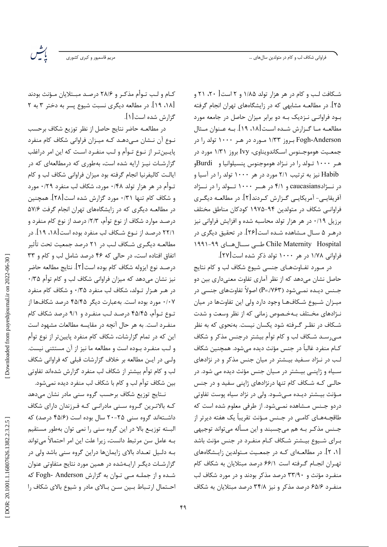فراوانی شکاف لب و کام در متولدین سالهای …

.<br>مریم قاسمپور و کبر*ی* کشوری

رت<br>پاڪس

کـام و لـب تـوأم مذکـر و ۲۸/۶ درصـد مبـتلایان مـؤنث بودند [۱۸، ۱۹]. در مطالعه دیگری نسبت شیوع پسر به دختر ۳ به ۲ گزارش شده است[۱].

در مطالعـه حاضر نتايج حاصل از نظر توزيع شكاف برحسب نـوع آن نـشان مـى‹هـد كـه ميـزان فراوانى شكاف كام منفرد پایینتر از نـوع تـوأم و لـب منفـرد اسـت که این امر دراغلب گزارشـات نیـز ارایه شده است، بهطوری که درمطالعهای که در ایالـت کالیفرنیا انجام گرفته بود میزان فراوانی شکاف لب و کام تـوأم در هر هزار تولد ۰/۴۸ مورد، شكاف لب منفرد ۰/۲۹ مورد و شكاف كام تنها ۰/۳۱ مورد گزارش شده است[۲۸]. همچنين در مطالعـه دیگری که در زایشگاههای تهران انجام گرفت ۵۷/۶ درصـد موارد شكاف از نوع توأم، ٢/٣/ درصد از نوع كام منفرد و ۲۲/۱ درصـد از نــوع شــکاف لب منفرد بوده است[۱۸، ۱۹]. در مطالعـه دیگـری شـکاف لـب در ۲۱ درصد جمعیت تحت تأثیر اتفاق افتاده است، در حالی که ۴۶ درصد شامل لب و کام و ۳۳ درصـد نوع ايزوله شكاف كام بوده است[٢]. نتايج مطالعه حاضر نیز نشان میدهد که میزان فراوانی شکاف لب و کام توأم ۰/۳۵ در هـر هـزار تـولد، شكاف لب منفرد ۰/۳۵ و شكاف كام منفرد ۰/۰۷ مورد بوده است. بهعبارت دیگر ۴۵/۴۵ درصد شکافها از تـوع تـوأم، ۴۵/۴۵ درصـد لـب منفـرد و ۹/۱ درصد شكاف كام منفـرد است. به هر حال آنچه در مقایسه مطالعات مشهود است این که در تمام گزارشات، شکاف کام منفرد پایینتر از نوع توأم و لب منفـرد بـوده است و مطالعه ما نيز از آن مستثنى نيست. ولـی در ایـن مطالعه بر خلاف گزارشات قبلی که فراوانی شکاف لب و کام توأم بیشتر از شکاف لب منفرد گزارش شدهاند تفاوتی بين شكاف توأم لب و كام با شكاف لب منفرد ديده نمي شود.

نـتايج توزيع شكاف برحسب گروه سنى مادر نشان مىدهد کـه بالاتـرین گـروه سـنی مادرانـی کـه فـرزندان دارای شکاف داشـتهاند گروه سنی ۲۵-۲۰ سال بوده است (۴۵/۶ درصد) که البــته توزيــع بالا در اين گروه سنى را نمى توان بهطور مستقيم بـه عامل سن مرتبط دانست، زيرا علت اين امر احتمالاً مىتواند بـه دلـیل تعـداد بالای زایمانها دراین گروه سنی باشد ولی در گزارشات دیگر ارایـهشده در همین مورد نتایج متفاوتی عنوان شده و از جملـه مـی تـوان به گزارش Fogh- Anderson که احـتمال ارتـباط بـين سـن بـالاي مادر و شيوع بالاي شكاف را

۴۹

شـکافت لـب و کام در هر هزار تولد ۱/۸۵ و ۲ است [ ۲۰، ۲۱ و ۲۵]. در مطالعـه مشابهی که در زایشگاههای تهران انجام گرفته بـود فراوانــی نـزدیک بـه دو برابر میزان حاصل در جامعه مورد مطالعــه مــا گــزارش شــده اســت[۱۸، ۱۹]. بــه عــنوان مــثال Fogh-Anderson بروز ۱۳۳ مورد در هر ۱۰۰۰ تولد را در جمعـيت هوموجـنوس اسـكاندويناوي، Ivy بروز ١/٣١ مورد در هـر ۱۰۰۰ تـولد را در نـژاد هوموجنوس پنسيلوانيا و Burdiو Habib نیز به ترتیب ۲/۱ مورد در هر ۱۰۰۰ تولد را در آسیا و در نـــژادcaucasians و ۴/۱ در هـــر ۱۰۰۰ تــولد را در نـــژاد آفریقایے- آمریکایے گـزارش کـردند[۲]. در مطالعــه دیگـری فراوانے شکاف در متولدین ۹۴–۱۹۷۵ کودکان مناطق مختلف برزیل ۰/۱۹ در هر هزار تولد محاسبه شده و افزایش فراوانی نیز درهـر ۵ سـال مـشاهده شـده است[۲۶]. در تحقیق دیگری در Chile Maternity Hospital طبی سال های ۹۹-۱۹۹۱ فراوانی ۱/۷۸ در هر ۱۰۰۰ تولد ذکر شده است[۲۷].

در مـورد تفـاوتهـاى جنسى شيوع شكاف لب و كام نتايج حاصل نشان میدهد که از نظر آماری تفاوت معنیداری بین دو جـنس ديــده نمــي٬شود (P=./۷۶۳) اصولاً تفاوتهاي جنسي در میـزان شـیوع شـكافهـا وجود دارد ولى این تفاوتها در میان نـژادهای مخـتلف بـهخـصوص زمانی که از نظر وسعت و شدت شـكاف در نظـر گـرفته شود يكسان نيست. بهنحوي كه به نظر میرسـد شـکاف لب و کام توأم بیشتر درجنس مذکر و شکاف كــام منفرد غالباً در جنس مؤنث ديده مىشود. همچنين شكاف لب در نـژاد سـفید بیـشتر در میان جنس مذکر و در نژادهای سـياه و ژاپنــي بيــشتر در مــيان جنس مؤنث ديده مى شود. در حالبی کـه شـکاف کام تنها درنژادهای ژاپنی سفید و در جنس مـؤنث بيـشتر ديـده مــ شـود. ولى در نژاد سياه يوست تفاوتى دردو جـنس مـشاهده نمـىشود. از طرفى معلوم شده است كه طاقچــهــای کامــی در جــنس مــؤنث تقریباً یک هفته دیرتر از جـنس مذکـر بـه هم مىچسبند و اين مسأله مىتواند توجيهى بـرای شـیوع بیـشتر شـکاف کـام منفـرد در جنس مؤنث باشد [۱، ۲]. در مطالعـهای کـه در جمعـیت مـتولدین زایـشگاههای تهران انجام گرفته است ۶۶/۱ درصد مبتلایان به شکاف کام منفـرد مؤنث و ۳۳/۹۰ درصد مذکر بودند و در مورد شکاف لب منفرد ۶۵/۶ درصد مذکر و نیز ۳۴/۸ درصد مبتلایان به شکاف

DOR: 20.1001.1.16807626.1382.2.3.2.5

Downloaded from payeshjournal.ir on 2022-06-30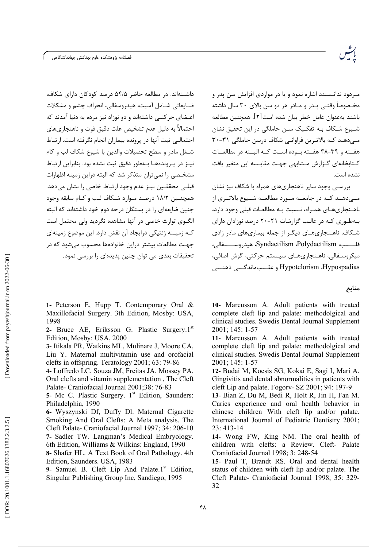فصلنامه پژوهشكده علوم بهداشتى جهاددانشگاهى



داشـتهاند. در مطالعه حاضر ۵۴/۵ درصد کودکان دارای شکاف، ضبابعاتی شبامل آسیت، هیدروسفالی، انجراف چشم و مشکلات اعـضای حرکتــی داشتهاند و دو نوزاد نیز مرده به دنیا آمدند که احتمالاً به دلیل عدم تشخیص علت دقیق فوت و ناهنجاریهای احتمالـی ثبت آنها در پرونده بیماران انجام نگرفته است. ا, تباط شـغل مادر و سطح تحصیلات والدین با شیوع شکاف لب و کام نیـز در پـروندههـا بـهطور دقیق ثبت نشده بود. بنابراین ارتباط مشخـصی را نمی توان متذکر شد که البته دراین زمینه اظهارات قبلـي محققـين نيـز عدم وجود ارتباط خاصي را نشان مىدهد. همچنـین ۱۸/۲ درصـد مـوارد شـکاف لـب و کـام سابقه وجود چنین ضایعهای را در بستگان درجه دوم خود داشتهاند که البته الگــوي توارث خاصي در آنها مشاهده نگرديد ولي محتمل است کـه زمیـنه ژنتیکی درایجاد آن نقش دارد. این موضوع زمینهای جهت مطالعات بیشتر دراین خانوادهها محسوب مے شود که در تحقیقات بعدی می توان چنین پدیدهای را بررسی نمود.

مـردود ندانـستند اشاره نمود و یا در مواردی افزایش سن پدر و مخـصوصاً وقتــی پــدر و مــادر هر دو سن بالای ۳۰ سال داشته باشند بهعنوان عامل خطر بيان شده است[۲]. همچنين مطالعه شـيوع شـكاف بــه تفكـيک ســن حاملگي در اين تحقيق نشان مے دھـد کـه بالاتـرین فراوانـے شکاف درسن حاملگے ۳۱-۳۰ هفـته و ٣٩-٣٨ هفـته بـوده اسـت كـه البـته در مطالعـات کـتابخانهای گـزارش مـشابهی جهـت مقايـسه اين متغير يافت نشده است.

بررسـی وجود سایر ناهنجاریهای همراه با شکاف نیز نشان مبے،دھند کنه در جامعنه منورد مطالعنه شنیوع بالاتنزی از ناهـنجاريهـاي همـراه، نـسبت بـه مطالعـات قبلي وجود دارد، بـهطـوری کـه در غالـب گزارشات ۲۱-۲۰ درصد نوزادان دارای شـکاف، ناهـنجارىهـاى ديگـر از جمله بيمارىهاى مادر زادى قلــــب، Syndactilism ،Polydactilism، هيدروســــــفالي، میکروسـفالی، ناهـنجاریهـای سیـستم حرکتی، گوش اضافی، Hypotelorism ،Hypospadias و عقــبماندگـــي ذهنـــي

منابع

1- Peterson E, Hupp T. Contemporary Oral & Maxillofacial Surgery. 3th Edition, Mosby: USA, 1998

2- Bruce AE, Eriksson G. Plastic Surgery.1st Edition, Mosby: USA, 2000

3- Itikala PR, Watkins ML, Mulinare J, Moore CA, Liu Y. Maternal multivitamin use and orofacial clefts in offspring. Teratology  $2001$ ; 63: 79-86

4- Loffredo LC, Souza JM, Freitas JA, Mossey PA. Oral clefts and vitamin supplementation, The Cleft Palate- Craniofacial Journal 2001;38: 76-83

5- Mc C. Plastic Surgery. 1<sup>st</sup> Edition, Saunders: Philadelphia, 1990

6- Wyszynski Df, Duffy Dl. Maternal Cigarette Smoking And Oral Clefts: A Meta analysis. The Cleft Palate- Craniofacial Journal 1997; 34: 206-10 7- Sadler TW. Langman's Medical Embryology. 6th Edition, Williams & Wilkins: England, 1990 8- Shafer HL. A Text Book of Oral Pathology. 4th Edition. Saunders. USA, 1983

9- Samuel B. Cleft Lip And Palate.1<sup>st</sup> Edition, Singular Publishing Group Inc, Sandiego, 1995

10- Marcusson A. Adult patients with treated complete cleft lip and palate: methodolgical and clinical studies. Swedis Dental Journal Supplement 2001; 145: 1-57

11- Marcusson A. Adult patients with treated complete cleft lip and palate: methodolgical and clinical studies. Swedis Dental Journal Supplement 2001; 145: 1-57

12- Budai M, Kocsis SG, Kokai E, Sagi I, Mari A. Gingivitis and dental abnormalities in patients with cleft Lip and palate. Fogory- SZ 2001; 94: 197-9

13- Bian Z. Du M. Bedi R. Holt R. Jin H. Fan M. Caries experience and oral health behavior in chinese children With cleft lip and/or palate. International Journal of Pediatric Dentistry 2001;  $23:413-14$ 

14- Wong FW, King NM. The oral health of children with clefts: a Review. Cleft- Palate Craniofacial Journal 1998; 3: 248-54

15- Paul T, Brandt RS. Oral and dental health status of children with cleft lip and/or palate. The Cleft Palate- Craniofacial Journal 1998; 35: 329-32